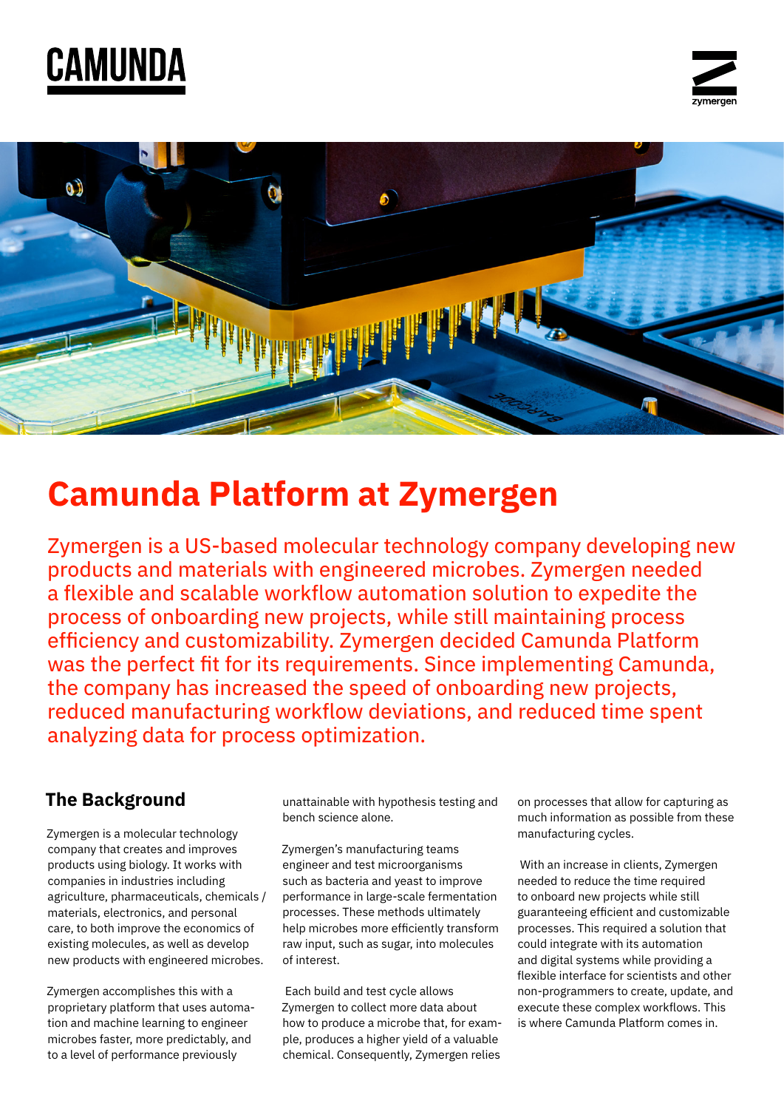# CAMUNDA





# **Camunda Platform at Zymergen**

Zymergen is a US-based molecular technology company developing new products and materials with engineered microbes. Zymergen needed a flexible and scalable workflow automation solution to expedite the process of onboarding new projects, while still maintaining process efficiency and customizability. Zymergen decided Camunda Platform was the perfect fit for its requirements. Since implementing Camunda, the company has increased the speed of onboarding new projects, reduced manufacturing workflow deviations, and reduced time spent analyzing data for process optimization.

### **The Background**

Zymergen is a molecular technology company that creates and improves products using biology. It works with companies in industries including agriculture, pharmaceuticals, chemicals / materials, electronics, and personal care, to both improve the economics of existing molecules, as well as develop new products with engineered microbes.

Zymergen accomplishes this with a proprietary platform that uses automation and machine learning to engineer microbes faster, more predictably, and to a level of performance previously

unattainable with hypothesis testing and bench science alone.

Zymergen's manufacturing teams engineer and test microorganisms such as bacteria and yeast to improve performance in large-scale fermentation processes. These methods ultimately help microbes more efficiently transform raw input, such as sugar, into molecules of interest.

 Each build and test cycle allows Zymergen to collect more data about how to produce a microbe that, for example, produces a higher yield of a valuable chemical. Consequently, Zymergen relies

on processes that allow for capturing as much information as possible from these manufacturing cycles.

 With an increase in clients, Zymergen needed to reduce the time required to onboard new projects while still guaranteeing efficient and customizable processes. This required a solution that could integrate with its automation and digital systems while providing a flexible interface for scientists and other non-programmers to create, update, and execute these complex workflows. This is where Camunda Platform comes in.